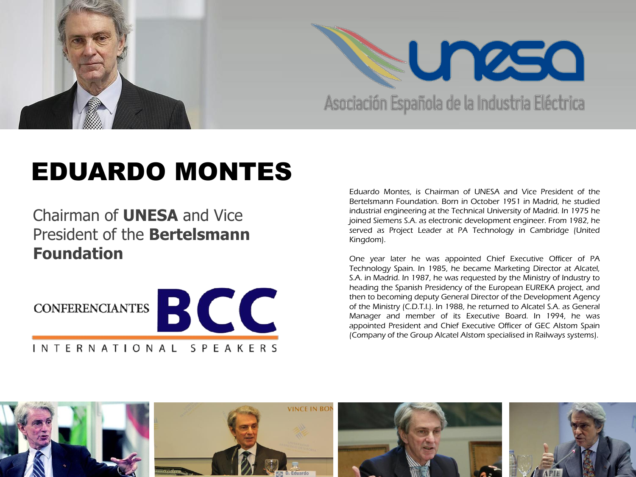

## EDUARDO MONTES

Chairman of **UNESA** and Vice President of the **Bertelsmann Foundation**



Eduardo Montes, is Chairman of UNESA and Vice President of the Bertelsmann Foundation. Born in October 1951 in Madrid, he studied industrial engineering at the Technical University of Madrid. In 1975 he joined Siemens S.A. as electronic development engineer. From 1982, he served as Project Leader at PA Technology in Cambridge (United Kingdom).

One year later he was appointed Chief Executive Officer of PA Technology Spain. In 1985, he became Marketing Director at Alcatel, S.A. in Madrid. In 1987, he was requested by the Ministry of Industry to heading the Spanish Presidency of the European EUREKA project, and then to becoming deputy General Director of the Development Agency of the Ministry (C.D.T.I.). In 1988, he returned to Alcatel S.A. as General Manager and member of its Executive Board. In 1994, he was appointed President and Chief Executive Officer of GEC Alstom Spain (Company of the Group Alcatel Alstom specialised in Railways systems).